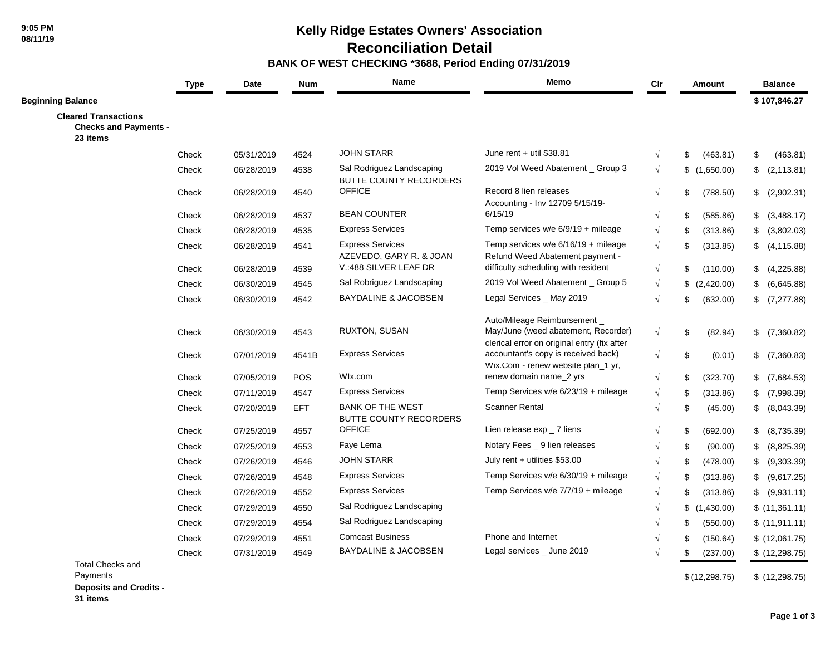## **Kelly Ridge Estates Owners' Association**

 **Reconciliation Detail**

#### **BANK OF WEST CHECKING \*3688, Period Ending 07/31/2019**

|                                                                         | <b>Type</b> | Date       | <b>Num</b> | Name                                                       | Memo                                                                                                             | Cir        | Amount           | <b>Balance</b>    |
|-------------------------------------------------------------------------|-------------|------------|------------|------------------------------------------------------------|------------------------------------------------------------------------------------------------------------------|------------|------------------|-------------------|
| <b>Beginning Balance</b>                                                |             |            |            |                                                            |                                                                                                                  |            |                  | \$107,846.27      |
| <b>Cleared Transactions</b><br><b>Checks and Payments -</b><br>23 items |             |            |            |                                                            |                                                                                                                  |            |                  |                   |
|                                                                         | Check       | 05/31/2019 | 4524       | <b>JOHN STARR</b>                                          | June rent + util \$38.81                                                                                         | $\sqrt{ }$ | \$<br>(463.81)   | \$<br>(463.81)    |
|                                                                         | Check       | 06/28/2019 | 4538       | Sal Rodriguez Landscaping<br><b>BUTTE COUNTY RECORDERS</b> | 2019 Vol Weed Abatement _ Group 3                                                                                | $\sqrt{ }$ | \$(1,650.00)     | \$<br>(2, 113.81) |
|                                                                         | Check       | 06/28/2019 | 4540       | <b>OFFICE</b>                                              | Record 8 lien releases<br>Accounting - Inv 12709 5/15/19-                                                        | $\sqrt{ }$ | \$<br>(788.50)   | \$ (2,902.31)     |
|                                                                         | Check       | 06/28/2019 | 4537       | <b>BEAN COUNTER</b>                                        | 6/15/19                                                                                                          | $\sqrt{}$  | \$<br>(585.86)   | \$ (3,488.17)     |
|                                                                         | Check       | 06/28/2019 | 4535       | <b>Express Services</b>                                    | Temp services $w/e 6/9/19 + mileage$                                                                             | $\sqrt{}$  | \$<br>(313.86)   | \$<br>(3,802.03)  |
|                                                                         | Check       | 06/28/2019 | 4541       | <b>Express Services</b><br>AZEVEDO, GARY R. & JOAN         | Temp services w/e $6/16/19 +$ mileage<br>Refund Weed Abatement payment -                                         | $\sqrt{ }$ | \$<br>(313.85)   | \$<br>(4, 115.88) |
|                                                                         | Check       | 06/28/2019 | 4539       | V.:488 SILVER LEAF DR                                      | difficulty scheduling with resident                                                                              | $\sqrt{}$  | \$<br>(110.00)   | (4,225.88)        |
|                                                                         | Check       | 06/30/2019 | 4545       | Sal Robriguez Landscaping                                  | 2019 Vol Weed Abatement _ Group 5                                                                                | $\sqrt{}$  | \$<br>(2,420.00) | \$<br>(6,645.88)  |
|                                                                         | Check       | 06/30/2019 | 4542       | BAYDALINE & JACOBSEN                                       | Legal Services _ May 2019                                                                                        | $\sqrt{}$  | \$<br>(632.00)   | \$<br>(7, 277.88) |
|                                                                         | Check       | 06/30/2019 | 4543       | RUXTON, SUSAN                                              | Auto/Mileage Reimbursement<br>May/June (weed abatement, Recorder)<br>clerical error on original entry (fix after | $\sqrt{}$  | \$<br>(82.94)    | (7,360.82)<br>\$  |
|                                                                         | Check       | 07/01/2019 | 4541B      | <b>Express Services</b>                                    | accountant's copy is received back)<br>Wix.Com - renew website plan_1 yr,                                        | $\sqrt{}$  | \$<br>(0.01)     | \$ (7,360.83)     |
|                                                                         | Check       | 07/05/2019 | POS        | Wlx.com                                                    | renew domain name_2 yrs                                                                                          | $\sqrt{}$  | \$<br>(323.70)   | \$<br>(7,684.53)  |
|                                                                         | Check       | 07/11/2019 | 4547       | <b>Express Services</b>                                    | Temp Services w/e 6/23/19 + mileage                                                                              | $\sqrt{}$  | \$<br>(313.86)   | \$<br>(7,998.39)  |
|                                                                         | Check       | 07/20/2019 | <b>EFT</b> | <b>BANK OF THE WEST</b><br><b>BUTTE COUNTY RECORDERS</b>   | <b>Scanner Rental</b>                                                                                            | $\sqrt{}$  | \$<br>(45.00)    | \$ (8,043.39)     |
|                                                                         | Check       | 07/25/2019 | 4557       | <b>OFFICE</b>                                              | Lien release $exp_7$ liens                                                                                       | $\sqrt{ }$ | \$<br>(692.00)   | \$<br>(8,735.39)  |
|                                                                         | Check       | 07/25/2019 | 4553       | Faye Lema                                                  | Notary Fees _ 9 lien releases                                                                                    | $\sqrt{ }$ | \$<br>(90.00)    | \$<br>(8,825.39)  |
|                                                                         | Check       | 07/26/2019 | 4546       | <b>JOHN STARR</b>                                          | July rent + utilities \$53.00                                                                                    | $\sqrt{}$  | \$<br>(478.00)   | \$<br>(9,303.39)  |
|                                                                         | Check       | 07/26/2019 | 4548       | <b>Express Services</b>                                    | Temp Services w/e 6/30/19 + mileage                                                                              | $\sqrt{}$  | \$<br>(313.86)   | \$ (9,617.25)     |
|                                                                         | Check       | 07/26/2019 | 4552       | <b>Express Services</b>                                    | Temp Services w/e 7/7/19 + mileage                                                                               | $\sqrt{}$  | \$<br>(313.86)   | \$ (9,931.11)     |
|                                                                         | Check       | 07/29/2019 | 4550       | Sal Rodriguez Landscaping                                  |                                                                                                                  | $\sqrt{}$  | \$<br>(1,430.00) | \$(11,361.11)     |
|                                                                         | Check       | 07/29/2019 | 4554       | Sal Rodriguez Landscaping                                  |                                                                                                                  | $\sqrt{ }$ | \$<br>(550.00)   | \$(11,911.11)     |
|                                                                         | Check       | 07/29/2019 | 4551       | <b>Comcast Business</b>                                    | Phone and Internet                                                                                               | $\sqrt{ }$ | \$<br>(150.64)   | \$(12,061.75)     |
|                                                                         | Check       | 07/31/2019 | 4549       | <b>BAYDALINE &amp; JACOBSEN</b>                            | Legal services _ June 2019                                                                                       | $\sqrt{ }$ | \$<br>(237.00)   | \$ (12, 298.75)   |
| <b>Total Checks and</b><br>Payments                                     |             |            |            |                                                            |                                                                                                                  |            | \$(12, 298.75)   | \$(12, 298.75)    |

**Deposits and Credits -** 

**31 items**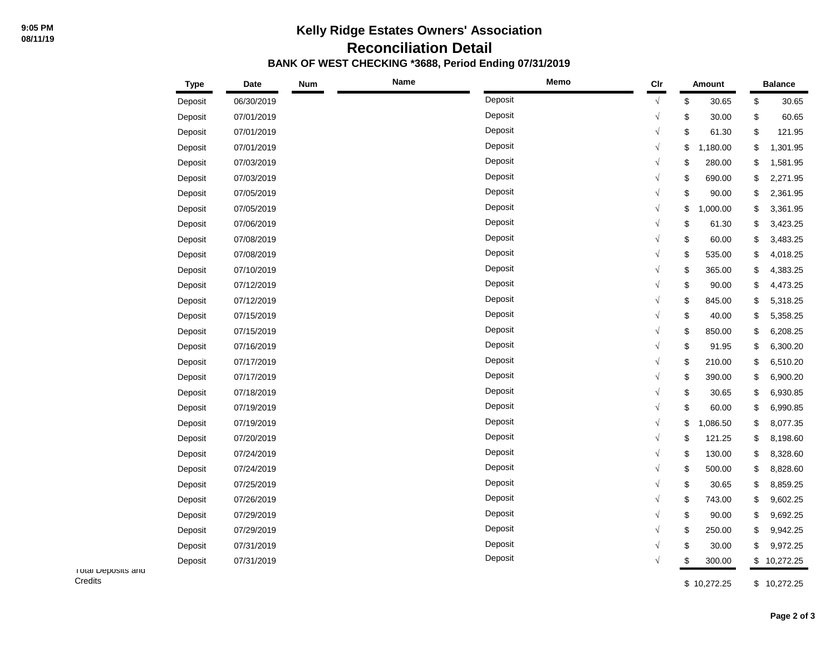# **Kelly Ridge Estates Owners' Association Reconciliation Detail BANK OF WEST CHECKING \*3688, Period Ending 07/31/2019**

|                                | <b>Type</b> | <b>Date</b> | <b>Num</b> | Name | Memo    | $_{\text{Clr}}$ | <b>Amount</b>  |    | <b>Balance</b> |  |  |
|--------------------------------|-------------|-------------|------------|------|---------|-----------------|----------------|----|----------------|--|--|
|                                | Deposit     | 06/30/2019  |            |      | Deposit | $\sqrt{ }$      | \$<br>30.65    | \$ | 30.65          |  |  |
|                                | Deposit     | 07/01/2019  |            |      | Deposit | $\sqrt{}$       | \$<br>30.00    | \$ | 60.65          |  |  |
|                                | Deposit     | 07/01/2019  |            |      | Deposit | $\sqrt{}$       | \$<br>61.30    | \$ | 121.95         |  |  |
|                                | Deposit     | 07/01/2019  |            |      | Deposit | $\sqrt{ }$      | \$<br>1,180.00 | \$ | 1,301.95       |  |  |
|                                | Deposit     | 07/03/2019  |            |      | Deposit | $\sqrt{}$       | \$<br>280.00   | \$ | 1,581.95       |  |  |
|                                | Deposit     | 07/03/2019  |            |      | Deposit | $\sqrt{}$       | \$<br>690.00   | \$ | 2,271.95       |  |  |
|                                | Deposit     | 07/05/2019  |            |      | Deposit | $\sqrt{}$       | \$<br>90.00    | \$ | 2,361.95       |  |  |
|                                | Deposit     | 07/05/2019  |            |      | Deposit | $\sqrt{ }$      | \$<br>1,000.00 | \$ | 3,361.95       |  |  |
|                                | Deposit     | 07/06/2019  |            |      | Deposit | $\sqrt{}$       | \$<br>61.30    | \$ | 3,423.25       |  |  |
|                                | Deposit     | 07/08/2019  |            |      | Deposit | $\sqrt{ }$      | \$<br>60.00    | \$ | 3,483.25       |  |  |
|                                | Deposit     | 07/08/2019  |            |      | Deposit | $\sqrt{}$       | \$<br>535.00   | \$ | 4,018.25       |  |  |
|                                | Deposit     | 07/10/2019  |            |      | Deposit | $\sqrt{ }$      | \$<br>365.00   | \$ | 4,383.25       |  |  |
|                                | Deposit     | 07/12/2019  |            |      | Deposit | $\sqrt{}$       | \$<br>90.00    | \$ | 4,473.25       |  |  |
|                                | Deposit     | 07/12/2019  |            |      | Deposit | $\sqrt{}$       | \$<br>845.00   | \$ | 5,318.25       |  |  |
|                                | Deposit     | 07/15/2019  |            |      | Deposit | $\sqrt{}$       | \$<br>40.00    | \$ | 5,358.25       |  |  |
|                                | Deposit     | 07/15/2019  |            |      | Deposit | $\sqrt{ }$      | \$<br>850.00   | \$ | 6,208.25       |  |  |
|                                | Deposit     | 07/16/2019  |            |      | Deposit | $\sqrt{}$       | \$<br>91.95    | \$ | 6,300.20       |  |  |
|                                | Deposit     | 07/17/2019  |            |      | Deposit | $\sqrt{}$       | \$<br>210.00   | \$ | 6,510.20       |  |  |
|                                | Deposit     | 07/17/2019  |            |      | Deposit | $\sqrt{ }$      | \$<br>390.00   | \$ | 6,900.20       |  |  |
|                                | Deposit     | 07/18/2019  |            |      | Deposit | $\sqrt{2}$      | \$<br>30.65    | \$ | 6,930.85       |  |  |
|                                | Deposit     | 07/19/2019  |            |      | Deposit | $\sqrt{ }$      | \$<br>60.00    | \$ | 6,990.85       |  |  |
|                                | Deposit     | 07/19/2019  |            |      | Deposit | $\sqrt{}$       | \$<br>1,086.50 | \$ | 8,077.35       |  |  |
|                                | Deposit     | 07/20/2019  |            |      | Deposit | $\sqrt{ }$      | \$<br>121.25   | \$ | 8,198.60       |  |  |
|                                | Deposit     | 07/24/2019  |            |      | Deposit | $\sqrt{}$       | \$<br>130.00   | \$ | 8,328.60       |  |  |
|                                | Deposit     | 07/24/2019  |            |      | Deposit | $\sqrt{ }$      | \$<br>500.00   | \$ | 8,828.60       |  |  |
|                                | Deposit     | 07/25/2019  |            |      | Deposit | $\sqrt{ }$      | \$<br>30.65    | \$ | 8,859.25       |  |  |
|                                | Deposit     | 07/26/2019  |            |      | Deposit | $\sqrt{}$       | \$<br>743.00   | \$ | 9,602.25       |  |  |
|                                | Deposit     | 07/29/2019  |            |      | Deposit | $\sqrt{ }$      | \$<br>90.00    | \$ | 9,692.25       |  |  |
|                                | Deposit     | 07/29/2019  |            |      | Deposit | $\sqrt{ }$      | \$<br>250.00   | \$ | 9,942.25       |  |  |
|                                | Deposit     | 07/31/2019  |            |      | Deposit | $\sqrt{2}$      | \$<br>30.00    | \$ | 9,972.25       |  |  |
|                                | Deposit     | 07/31/2019  |            |      | Deposit | $\sqrt{}$       | \$<br>300.00   | \$ | 10,272.25      |  |  |
| I otal Deposits and<br>Credits |             |             |            |      |         |                 | \$10,272.25    | \$ | 10,272.25      |  |  |